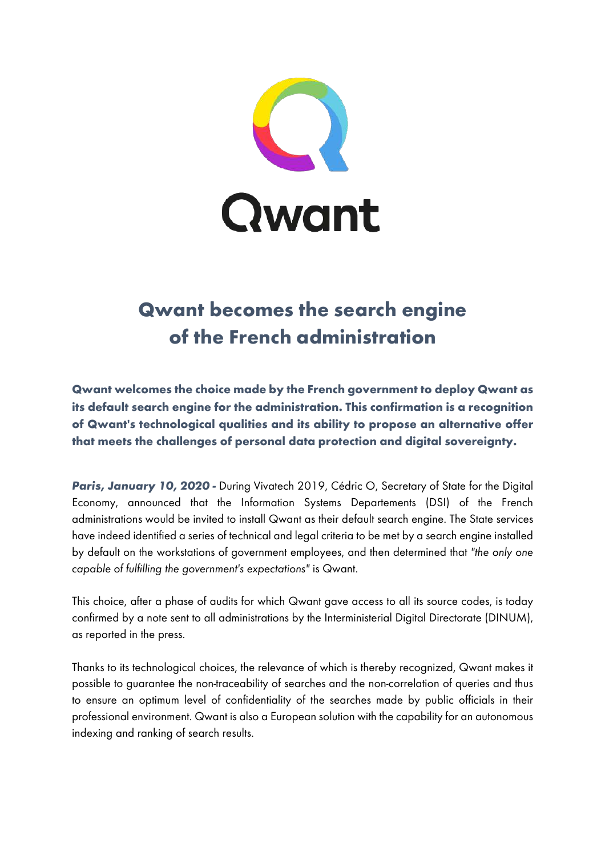

## **Qwant becomes the search engine of the French administration**

**Qwant welcomes the choice made by the French government to deploy Qwant as its default search engine for the administration. This confirmation is a recognition of Qwant's technological qualities and its ability to propose an alternative offer that meets the challenges of personal data protection and digital sovereignty.**

Paris, January 10, 2020 - During Vivatech 2019, Cédric O, Secretary of State for the Digital Economy, announced that the Information Systems Departements (DSI) of the French administrations would be invited to install Qwant as their default search engine. The State services have indeed identified a series of technical and legal criteria to be met by a search engine installed by default on the workstations of government employees, and then determined that *"the only one capable of fulfilling the government's expectations"* is Qwant.

This choice, after a phase of audits for which Qwant gave access to all its source codes, is today confirmed by a note sent to all administrations by the Interministerial Digital Directorate (DINUM), as reported in the press.

Thanks to its technological choices, the relevance of which is thereby recognized, Qwant makes it possible to guarantee the non-traceability of searches and the non-correlation of queries and thus to ensure an optimum level of confidentiality of the searches made by public officials in their professional environment. Qwant is also a European solution with the capability for an autonomous indexing and ranking of search results.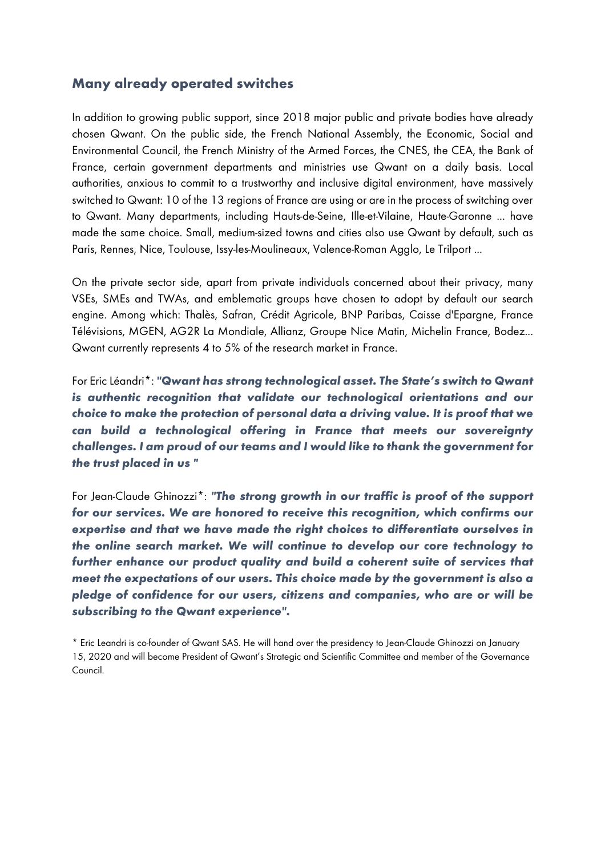## **Many already operated switches**

In addition to growing public support, since 2018 major public and private bodies have already chosen Qwant. On the public side, the French National Assembly, the Economic, Social and Environmental Council, the French Ministry of the Armed Forces, the CNES, the CEA, the Bank of France, certain government departments and ministries use Qwant on a daily basis. Local authorities, anxious to commit to a trustworthy and inclusive digital environment, have massively switched to Qwant: 10 of the 13 regions of France are using or are in the process of switching over to Qwant. Many departments, including Hauts-de-Seine, Ille-et-Vilaine, Haute-Garonne ... have made the same choice. Small, medium-sized towns and cities also use Qwant by default, such as Paris, Rennes, Nice, Toulouse, Issy-les-Moulineaux, Valence-Roman Agglo, Le Trilport ...

On the private sector side, apart from private individuals concerned about their privacy, many VSEs, SMEs and TWAs, and emblematic groups have chosen to adopt by default our search engine. Among which: Thalès, Safran, Crédit Agricole, BNP Paribas, Caisse d'Epargne, France Télévisions, MGEN, AG2R La Mondiale, Allianz, Groupe Nice Matin, Michelin France, Bodez... Qwant currently represents 4 to 5% of the research market in France.

For Eric Léandri\*: *"Qwant has strong technological asset. The State's switch to Qwant is authentic recognition that validate our technological orientations and our choice to make the protection of personal data a driving value. It is proof that we can build a technological offering in France that meets our sovereignty challenges. I am proud of our teams and I would like to thank the government for the trust placed in us "*

For Jean-Claude Ghinozzi\*: *"The strong growth in our traffic is proof of the support for our services. We are honored to receive this recognition, which confirms our expertise and that we have made the right choices to differentiate ourselves in the online search market. We will continue to develop our core technology to further enhance our product quality and build a coherent suite of services that meet the expectations of our users. This choice made by the government is also a pledge of confidence for our users, citizens and companies, who are or will be subscribing to the Qwant experience".* 

\* Eric Leandri is co-founder of Qwant SAS. He will hand over the presidency to Jean-Claude Ghinozzi on January 15, 2020 and will become President of Qwant's Strategic and Scientific Committee and member of the Governance Council.